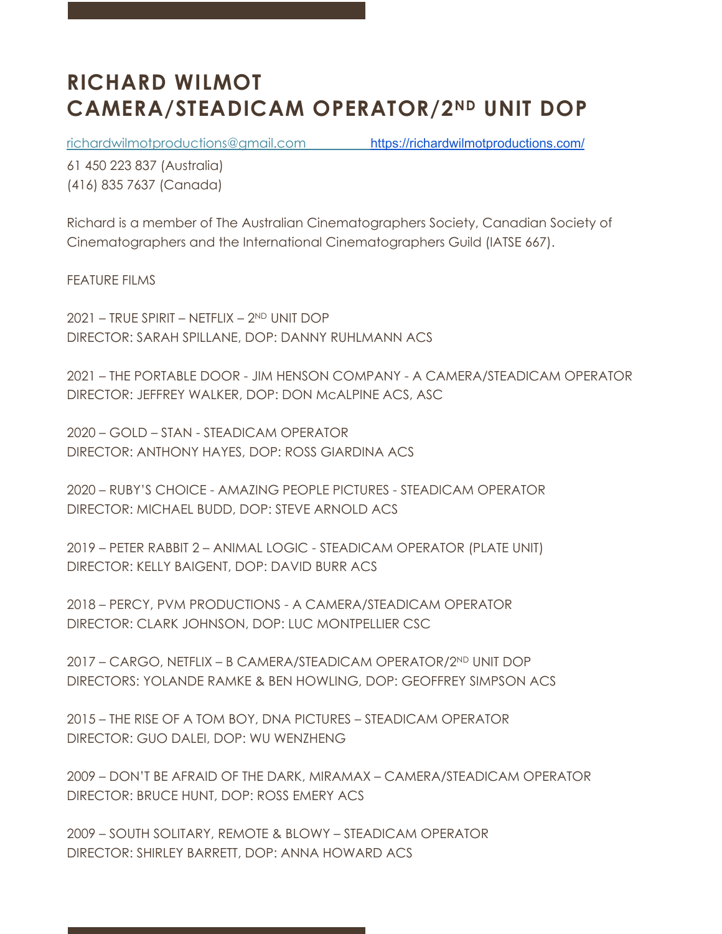## **RICHARD WILMOT CAMERA/STEADICAM OPERATOR/2ND UNIT DOP**

richardwilmotproductions@gmail.com https://richardwilmotproductions.com/

61 450 223 837 (Australia) (416) 835 7637 (Canada)

Richard is a member of The Australian Cinematographers Society, Canadian Society of Cinematographers and the International Cinematographers Guild (IATSE 667).

FEATURE FILMS

2021 – TRUE SPIRIT – NETFLIX – 2ND UNIT DOP DIRECTOR: SARAH SPILLANE, DOP: DANNY RUHLMANN ACS

2021 – THE PORTABLE DOOR - JIM HENSON COMPANY - A CAMERA/STEADICAM OPERATOR DIRECTOR: JEFFREY WALKER, DOP: DON McALPINE ACS, ASC

2020 – GOLD – STAN - STEADICAM OPERATOR DIRECTOR: ANTHONY HAYES, DOP: ROSS GIARDINA ACS

2020 – RUBY'S CHOICE - AMAZING PEOPLE PICTURES - STEADICAM OPERATOR DIRECTOR: MICHAEL BUDD, DOP: STEVE ARNOLD ACS

2019 – PETER RABBIT 2 – ANIMAL LOGIC - STEADICAM OPERATOR (PLATE UNIT) DIRECTOR: KELLY BAIGENT, DOP: DAVID BURR ACS

2018 – PERCY, PVM PRODUCTIONS - A CAMERA/STEADICAM OPERATOR DIRECTOR: CLARK JOHNSON, DOP: LUC MONTPELLIER CSC

2017 – CARGO, NETFLIX – B CAMERA/STEADICAM OPERATOR/2ND UNIT DOP DIRECTORS: YOLANDE RAMKE & BEN HOWLING, DOP: GEOFFREY SIMPSON ACS

2015 – THE RISE OF A TOM BOY, DNA PICTURES – STEADICAM OPERATOR DIRECTOR: GUO DALEI, DOP: WU WENZHENG

2009 – DON'T BE AFRAID OF THE DARK, MIRAMAX – CAMERA/STEADICAM OPERATOR DIRECTOR: BRUCE HUNT, DOP: ROSS EMERY ACS

2009 – SOUTH SOLITARY, REMOTE & BLOWY – STEADICAM OPERATOR DIRECTOR: SHIRLEY BARRETT, DOP: ANNA HOWARD ACS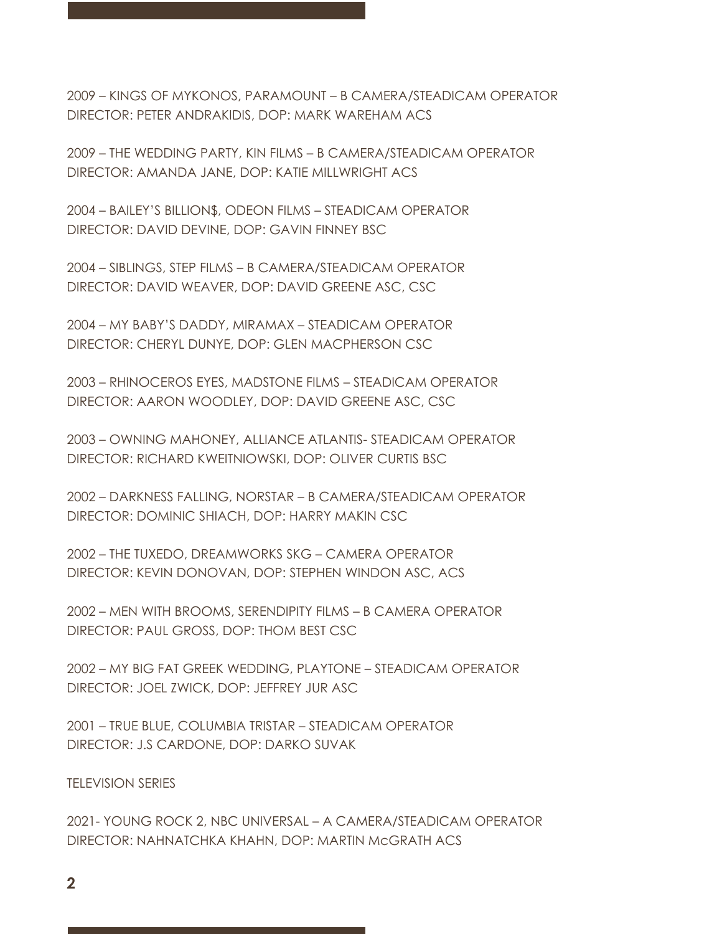2009 – KINGS OF MYKONOS, PARAMOUNT – B CAMERA/STEADICAM OPERATOR DIRECTOR: PETER ANDRAKIDIS, DOP: MARK WAREHAM ACS

2009 – THE WEDDING PARTY, KIN FILMS – B CAMERA/STEADICAM OPERATOR DIRECTOR: AMANDA JANE, DOP: KATIE MILLWRIGHT ACS

2004 – BAILEY'S BILLION\$, ODEON FILMS – STEADICAM OPERATOR DIRECTOR: DAVID DEVINE, DOP: GAVIN FINNEY BSC

2004 – SIBLINGS, STEP FILMS – B CAMERA/STEADICAM OPERATOR DIRECTOR: DAVID WEAVER, DOP: DAVID GREENE ASC, CSC

2004 – MY BABY'S DADDY, MIRAMAX – STEADICAM OPERATOR DIRECTOR: CHERYL DUNYE, DOP: GLEN MACPHERSON CSC

2003 – RHINOCEROS EYES, MADSTONE FILMS – STEADICAM OPERATOR DIRECTOR: AARON WOODLEY, DOP: DAVID GREENE ASC, CSC

2003 – OWNING MAHONEY, ALLIANCE ATLANTIS- STEADICAM OPERATOR DIRECTOR: RICHARD KWEITNIOWSKI, DOP: OLIVER CURTIS BSC

2002 – DARKNESS FALLING, NORSTAR – B CAMERA/STEADICAM OPERATOR DIRECTOR: DOMINIC SHIACH, DOP: HARRY MAKIN CSC

2002 – THE TUXEDO, DREAMWORKS SKG – CAMERA OPERATOR DIRECTOR: KEVIN DONOVAN, DOP: STEPHEN WINDON ASC, ACS

2002 – MEN WITH BROOMS, SERENDIPITY FILMS – B CAMERA OPERATOR DIRECTOR: PAUL GROSS, DOP: THOM BEST CSC

2002 – MY BIG FAT GREEK WEDDING, PLAYTONE – STEADICAM OPERATOR DIRECTOR: JOEL ZWICK, DOP: JEFFREY JUR ASC

2001 – TRUE BLUE, COLUMBIA TRISTAR – STEADICAM OPERATOR DIRECTOR: J.S CARDONE, DOP: DARKO SUVAK

TELEVISION SERIES

2021- YOUNG ROCK 2, NBC UNIVERSAL – A CAMERA/STEADICAM OPERATOR DIRECTOR: NAHNATCHKA KHAHN, DOP: MARTIN McGRATH ACS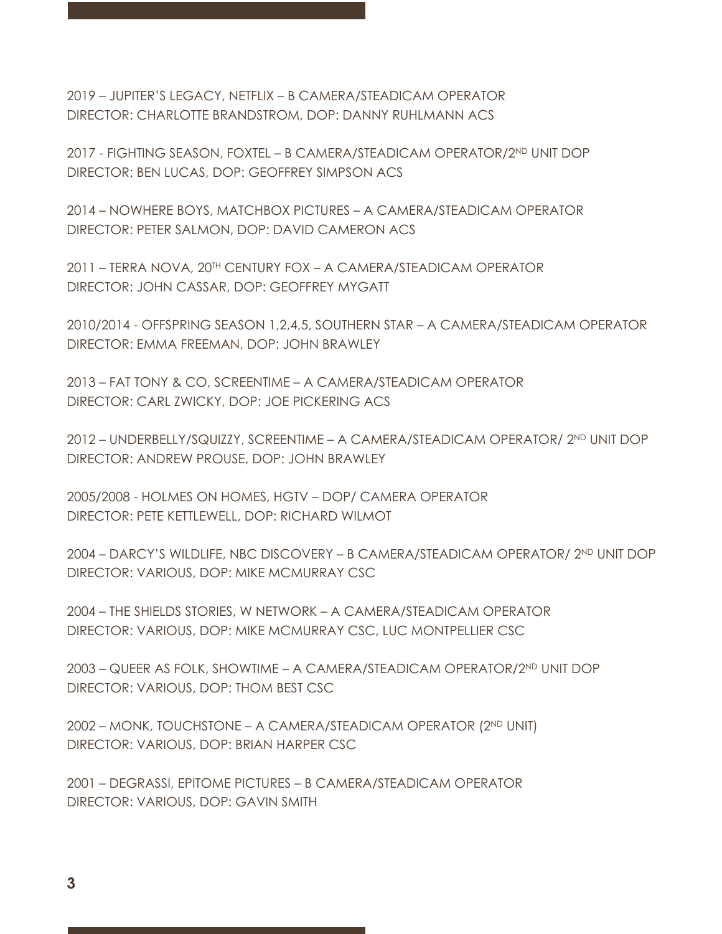2019 – JUPITER'S LEGACY, NETFLIX – B CAMERA/STEADICAM OPERATOR DIRECTOR: CHARLOTTE BRANDSTROM, DOP: DANNY RUHLMANN ACS

2017 - FIGHTING SEASON, FOXTEL – B CAMERA/STEADICAM OPERATOR/2ND UNIT DOP DIRECTOR: BEN LUCAS, DOP: GEOFFREY SIMPSON ACS

2014 – NOWHERE BOYS, MATCHBOX PICTURES – A CAMERA/STEADICAM OPERATOR DIRECTOR: PETER SALMON, DOP: DAVID CAMERON ACS

2011 – TERRA NOVA, 20TH CENTURY FOX – A CAMERA/STEADICAM OPERATOR DIRECTOR: JOHN CASSAR, DOP: GEOFFREY MYGATT

2010/2014 - OFFSPRING SEASON 1,2,4,5, SOUTHERN STAR – A CAMERA/STEADICAM OPERATOR DIRECTOR: EMMA FREEMAN, DOP: JOHN BRAWLEY

2013 – FAT TONY & CO, SCREENTIME – A CAMERA/STEADICAM OPERATOR DIRECTOR: CARL ZWICKY, DOP: JOE PICKERING ACS

2012 – UNDERBELLY/SQUIZZY, SCREENTIME – A CAMERA/STEADICAM OPERATOR/ 2ND UNIT DOP DIRECTOR: ANDREW PROUSE, DOP: JOHN BRAWLEY

2005/2008 - HOLMES ON HOMES, HGTV – DOP/ CAMERA OPERATOR DIRECTOR: PETE KETTLEWELL, DOP: RICHARD WILMOT

2004 – DARCY'S WILDLIFE, NBC DISCOVERY – B CAMERA/STEADICAM OPERATOR/ 2ND UNIT DOP DIRECTOR: VARIOUS, DOP: MIKE MCMURRAY CSC

2004 – THE SHIELDS STORIES, W NETWORK – A CAMERA/STEADICAM OPERATOR DIRECTOR: VARIOUS, DOP: MIKE MCMURRAY CSC, LUC MONTPELLIER CSC

2003 – QUEER AS FOLK, SHOWTIME – A CAMERA/STEADICAM OPERATOR/2ND UNIT DOP DIRECTOR: VARIOUS, DOP: THOM BEST CSC

2002 – MONK, TOUCHSTONE – A CAMERA/STEADICAM OPERATOR (2ND UNIT) DIRECTOR: VARIOUS, DOP: BRIAN HARPER CSC

2001 – DEGRASSI, EPITOME PICTURES – B CAMERA/STEADICAM OPERATOR DIRECTOR: VARIOUS, DOP: GAVIN SMITH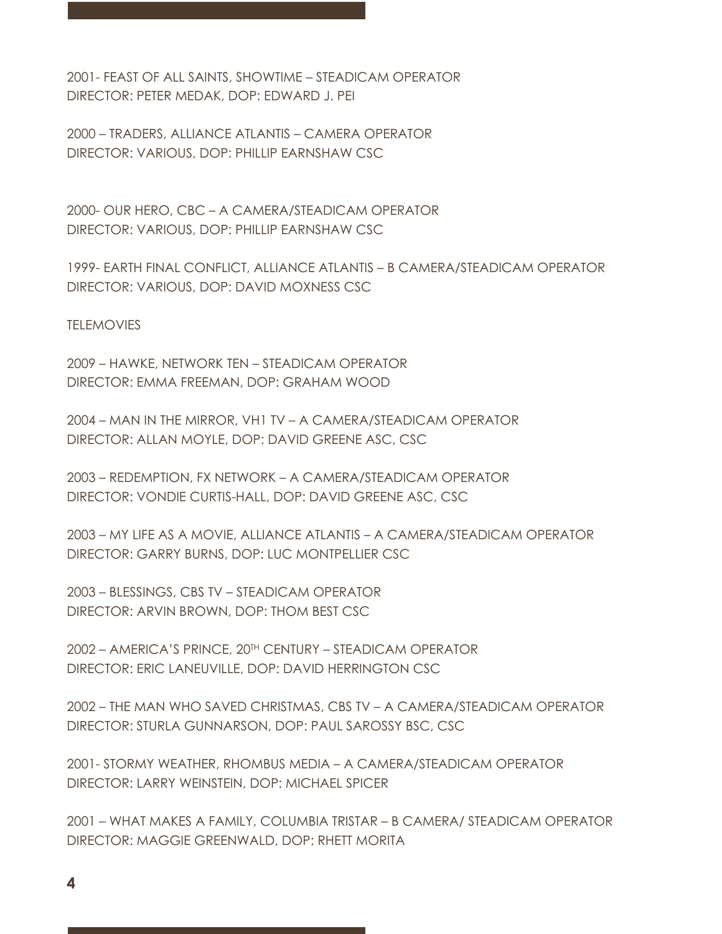2001- FEAST OF ALL SAINTS, SHOWTIME – STEADICAM OPERATOR DIRECTOR: PETER MEDAK, DOP: EDWARD J. PEI

2000 – TRADERS, ALLIANCE ATLANTIS – CAMERA OPERATOR DIRECTOR: VARIOUS, DOP: PHILLIP EARNSHAW CSC

2000- OUR HERO, CBC – A CAMERA/STEADICAM OPERATOR DIRECTOR: VARIOUS, DOP: PHILLIP EARNSHAW CSC

1999- EARTH FINAL CONFLICT, ALLIANCE ATLANTIS – B CAMERA/STEADICAM OPERATOR DIRECTOR: VARIOUS, DOP: DAVID MOXNESS CSC

**TELEMOVIES** 

2009 – HAWKE, NETWORK TEN – STEADICAM OPERATOR DIRECTOR: EMMA FREEMAN, DOP: GRAHAM WOOD

2004 – MAN IN THE MIRROR, VH1 TV – A CAMERA/STEADICAM OPERATOR DIRECTOR: ALLAN MOYLE, DOP: DAVID GREENE ASC, CSC

2003 – REDEMPTION, FX NETWORK – A CAMERA/STEADICAM OPERATOR DIRECTOR: VONDIE CURTIS-HALL, DOP: DAVID GREENE ASC, CSC

2003 – MY LIFE AS A MOVIE, ALLIANCE ATLANTIS – A CAMERA/STEADICAM OPERATOR DIRECTOR: GARRY BURNS, DOP: LUC MONTPELLIER CSC

2003 – BLESSINGS, CBS TV – STEADICAM OPERATOR DIRECTOR: ARVIN BROWN, DOP: THOM BEST CSC

2002 – AMERICA'S PRINCE, 20TH CENTURY – STEADICAM OPERATOR DIRECTOR: ERIC LANEUVILLE, DOP: DAVID HERRINGTON CSC

2002 – THE MAN WHO SAVED CHRISTMAS, CBS TV – A CAMERA/STEADICAM OPERATOR DIRECTOR: STURLA GUNNARSON, DOP: PAUL SAROSSY BSC, CSC

2001- STORMY WEATHER, RHOMBUS MEDIA – A CAMERA/STEADICAM OPERATOR DIRECTOR: LARRY WEINSTEIN, DOP: MICHAEL SPICER

2001 – WHAT MAKES A FAMILY, COLUMBIA TRISTAR – B CAMERA/ STEADICAM OPERATOR DIRECTOR: MAGGIE GREENWALD, DOP: RHETT MORITA